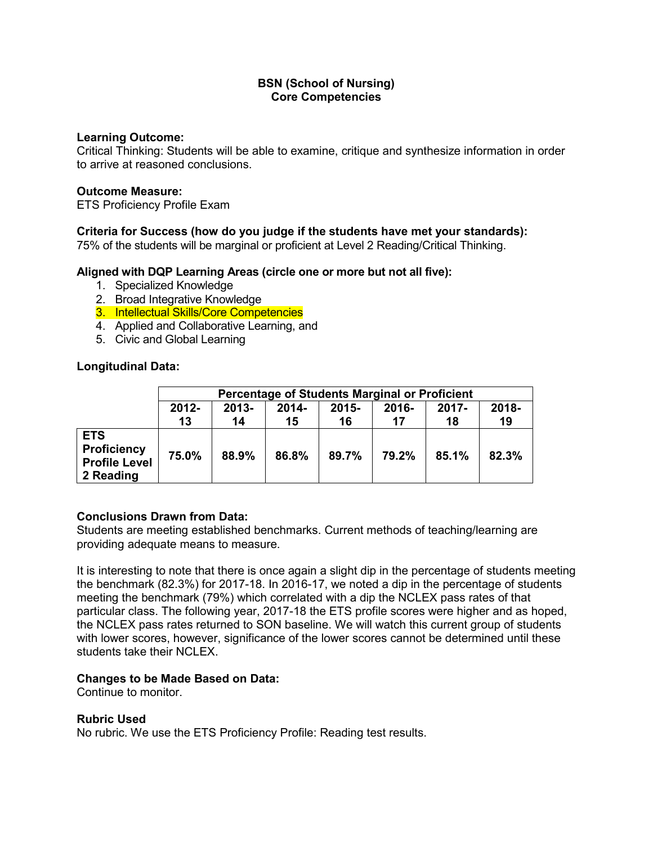### **Learning Outcome:**

Critical Thinking: Students will be able to examine, critique and synthesize information in order to arrive at reasoned conclusions.

### **Outcome Measure:**

ETS Proficiency Profile Exam

## **Criteria for Success (how do you judge if the students have met your standards):**

75% of the students will be marginal or proficient at Level 2 Reading/Critical Thinking.

### **Aligned with DQP Learning Areas (circle one or more but not all five):**

- 1. Specialized Knowledge
- 2. Broad Integrative Knowledge
- 3. Intellectual Skills/Core Competencies
- 4. Applied and Collaborative Learning, and
- 5. Civic and Global Learning

## **Longitudinal Data:**

|                                                                       | <b>Percentage of Students Marginal or Proficient</b>                          |       |       |       |       |       |       |  |  |
|-----------------------------------------------------------------------|-------------------------------------------------------------------------------|-------|-------|-------|-------|-------|-------|--|--|
|                                                                       | 2018-<br>$2012 -$<br>$2013 -$<br>$2015 -$<br>2014-<br>2016-<br>$2017 -$<br>17 |       |       |       |       |       |       |  |  |
|                                                                       | 13                                                                            | 14    | 15    | 16    |       | 18    | 19    |  |  |
| <b>ETS</b><br><b>Proficiency</b><br><b>Profile Level</b><br>2 Reading | 75.0%                                                                         | 88.9% | 86.8% | 89.7% | 79.2% | 85.1% | 82.3% |  |  |

### **Conclusions Drawn from Data:**

Students are meeting established benchmarks. Current methods of teaching/learning are providing adequate means to measure.

It is interesting to note that there is once again a slight dip in the percentage of students meeting the benchmark (82.3%) for 2017-18. In 2016-17, we noted a dip in the percentage of students meeting the benchmark (79%) which correlated with a dip the NCLEX pass rates of that particular class. The following year, 2017-18 the ETS profile scores were higher and as hoped, the NCLEX pass rates returned to SON baseline. We will watch this current group of students with lower scores, however, significance of the lower scores cannot be determined until these students take their NCLEX.

### **Changes to be Made Based on Data:**

Continue to monitor.

### **Rubric Used**

No rubric. We use the ETS Proficiency Profile: Reading test results.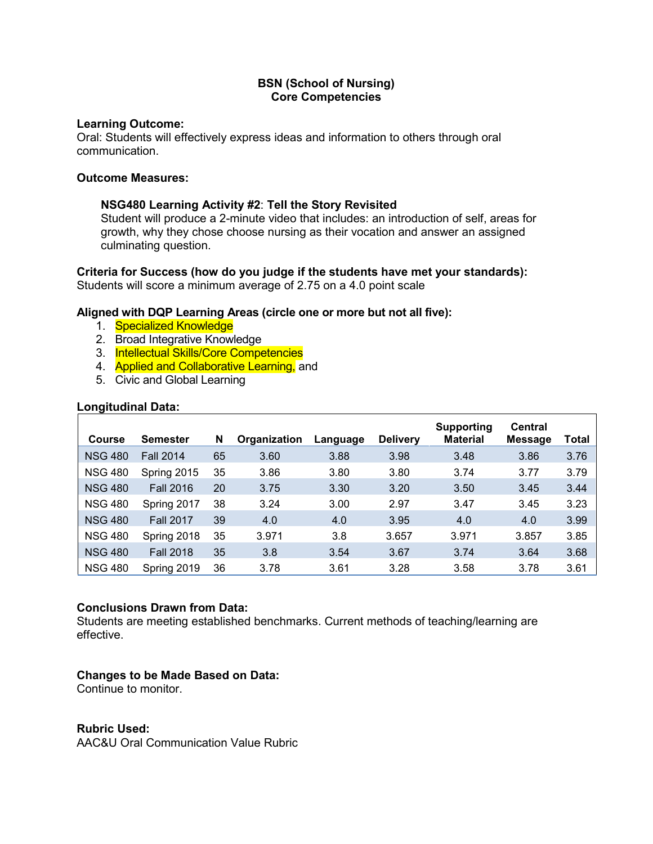### **Learning Outcome:**

Oral: Students will effectively express ideas and information to others through oral communication.

#### **Outcome Measures:**

### **NSG480 Learning Activity #2**: **Tell the Story Revisited**

Student will produce a 2-minute video that includes: an introduction of self, areas for growth, why they chose choose nursing as their vocation and answer an assigned culminating question.

#### **Criteria for Success (how do you judge if the students have met your standards):** Students will score a minimum average of 2.75 on a 4.0 point scale

### **Aligned with DQP Learning Areas (circle one or more but not all five):**

- 1. Specialized Knowledge
- 2. Broad Integrative Knowledge
- 3. Intellectual Skills/Core Competencies
- 4. **Applied and Collaborative Learning, and**
- 5. Civic and Global Learning

### **Longitudinal Data:**

| <b>Course</b>  | Semester         | N  | Organization | Language | <b>Delivery</b> | <b>Supporting</b><br><b>Material</b> | <b>Central</b><br><b>Message</b> | Total |
|----------------|------------------|----|--------------|----------|-----------------|--------------------------------------|----------------------------------|-------|
| <b>NSG 480</b> | <b>Fall 2014</b> | 65 | 3.60         | 3.88     | 3.98            | 3.48                                 | 3.86                             | 3.76  |
| <b>NSG 480</b> | Spring 2015      | 35 | 3.86         | 3.80     | 3.80            | 3.74                                 | 3.77                             | 3.79  |
| <b>NSG 480</b> | <b>Fall 2016</b> | 20 | 3.75         | 3.30     | 3.20            | 3.50                                 | 3.45                             | 3.44  |
| <b>NSG 480</b> | Spring 2017      | 38 | 3.24         | 3.00     | 2.97            | 3.47                                 | 3.45                             | 3.23  |
| <b>NSG 480</b> | <b>Fall 2017</b> | 39 | 4.0          | 4.0      | 3.95            | 4.0                                  | 4.0                              | 3.99  |
| <b>NSG 480</b> | Spring 2018      | 35 | 3.971        | 3.8      | 3.657           | 3.971                                | 3.857                            | 3.85  |
| <b>NSG 480</b> | <b>Fall 2018</b> | 35 | 3.8          | 3.54     | 3.67            | 3.74                                 | 3.64                             | 3.68  |
| <b>NSG 480</b> | Spring 2019      | 36 | 3.78         | 3.61     | 3.28            | 3.58                                 | 3.78                             | 3.61  |

### **Conclusions Drawn from Data:**

Students are meeting established benchmarks. Current methods of teaching/learning are effective.

### **Changes to be Made Based on Data:**

Continue to monitor.

### **Rubric Used:**

AAC&U Oral Communication Value Rubric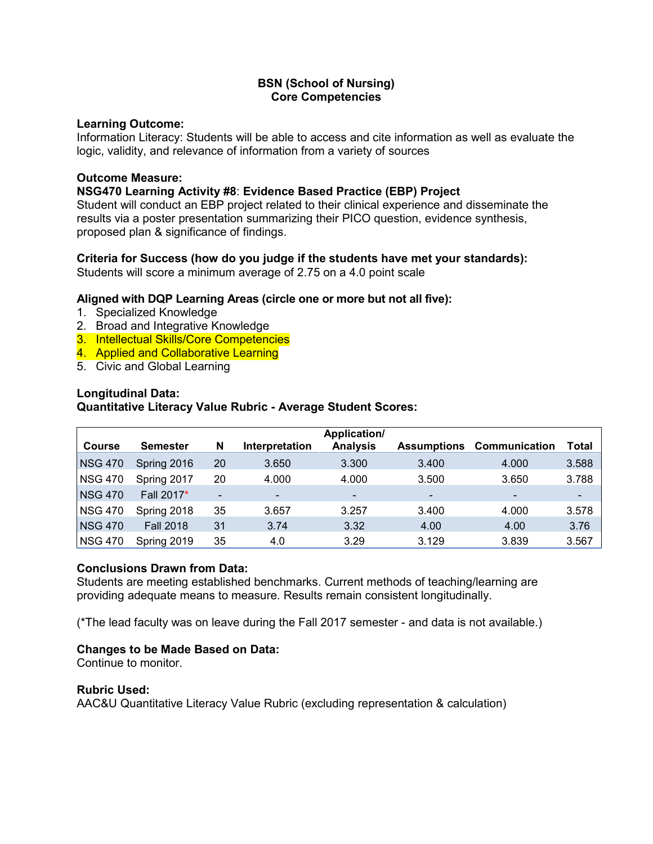### **Learning Outcome:**

Information Literacy: Students will be able to access and cite information as well as evaluate the logic, validity, and relevance of information from a variety of sources

## **Outcome Measure:**

## **NSG470 Learning Activity #8**: **Evidence Based Practice (EBP) Project**

Student will conduct an EBP project related to their clinical experience and disseminate the results via a poster presentation summarizing their PICO question, evidence synthesis, proposed plan & significance of findings.

## **Criteria for Success (how do you judge if the students have met your standards):**

Students will score a minimum average of 2.75 on a 4.0 point scale

## **Aligned with DQP Learning Areas (circle one or more but not all five):**

- 1. Specialized Knowledge
- 2. Broad and Integrative Knowledge
- 3. Intellectual Skills/Core Competencies
- 4. Applied and Collaborative Learning
- 5. Civic and Global Learning

## **Longitudinal Data:**

# **Quantitative Literacy Value Rubric - Average Student Scores:**

| <b>Course</b>  | <b>Semester</b>  | N                        | Interpretation | Application/<br><b>Analysis</b> | <b>Assumptions</b> | <b>Communication</b>     | Total |
|----------------|------------------|--------------------------|----------------|---------------------------------|--------------------|--------------------------|-------|
| <b>NSG 470</b> | Spring 2016      | 20                       | 3.650          | 3.300                           | 3.400              | 4.000                    | 3.588 |
| <b>NSG 470</b> | Spring 2017      | 20                       | 4.000          | 4.000                           | 3.500              | 3.650                    | 3.788 |
| <b>NSG 470</b> | Fall 2017*       | $\overline{\phantom{a}}$ | ٠              | $\blacksquare$                  | ۰                  | $\overline{\phantom{a}}$ | ۰     |
| <b>NSG 470</b> | Spring 2018      | 35                       | 3.657          | 3.257                           | 3.400              | 4.000                    | 3.578 |
| <b>NSG 470</b> | <b>Fall 2018</b> | 31                       | 3.74           | 3.32                            | 4.00               | 4.00                     | 3.76  |
| <b>NSG 470</b> | Spring 2019      | 35                       | 4.0            | 3.29                            | 3.129              | 3.839                    | 3.567 |

### **Conclusions Drawn from Data:**

Students are meeting established benchmarks. Current methods of teaching/learning are providing adequate means to measure. Results remain consistent longitudinally.

(\*The lead faculty was on leave during the Fall 2017 semester - and data is not available.)

# **Changes to be Made Based on Data:**

Continue to monitor.

### **Rubric Used:**

AAC&U Quantitative Literacy Value Rubric (excluding representation & calculation)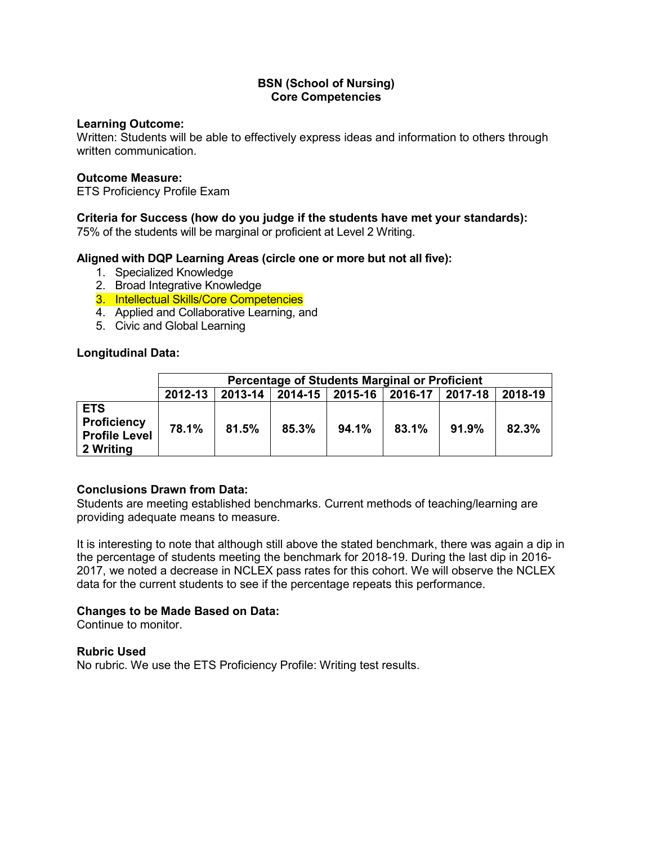### **Learning Outcome:**

Written: Students will be able to effectively express ideas and information to others through written communication.

#### **Outcome Measure:**

ETS Proficiency Profile Exam

### **Criteria for Success (how do you judge if the students have met your standards):**

75% of the students will be marginal or proficient at Level 2 Writing.

### **Aligned with DQP Learning Areas (circle one or more but not all five):**

- 1. Specialized Knowledge
- 2. Broad Integrative Knowledge
- 3. Intellectual Skills/Core Competencies
- 4. Applied and Collaborative Learning, and
- 5. Civic and Global Learning

#### **Longitudinal Data:**

|                                                                       | <b>Percentage of Students Marginal or Proficient</b> |                                                             |       |       |       |       |       |  |  |  |
|-----------------------------------------------------------------------|------------------------------------------------------|-------------------------------------------------------------|-------|-------|-------|-------|-------|--|--|--|
|                                                                       | 2012-13                                              | 2018-19<br>2013-14   2014-15   2015-16  <br>2016-17 2017-18 |       |       |       |       |       |  |  |  |
| <b>ETS</b><br><b>Proficiency</b><br><b>Profile Level</b><br>2 Writing | 78.1%                                                | 81.5%                                                       | 85.3% | 94.1% | 83.1% | 91.9% | 82.3% |  |  |  |

### **Conclusions Drawn from Data:**

Students are meeting established benchmarks. Current methods of teaching/learning are providing adequate means to measure.

It is interesting to note that although still above the stated benchmark, there was again a dip in the percentage of students meeting the benchmark for 2018-19. During the last dip in 2016- 2017, we noted a decrease in NCLEX pass rates for this cohort. We will observe the NCLEX data for the current students to see if the percentage repeats this performance.

### **Changes to be Made Based on Data:**

Continue to monitor.

#### **Rubric Used**

No rubric. We use the ETS Proficiency Profile: Writing test results.